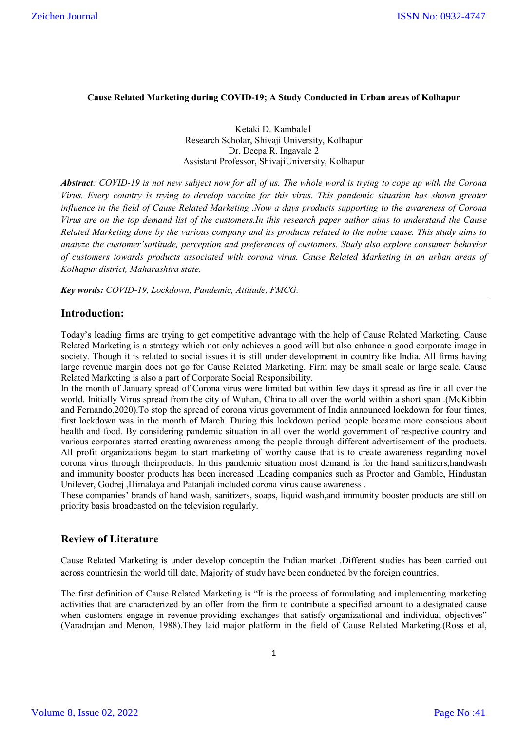### **Cause Related Marketing during COVID-19; A Study Conducted in Urban areas of Kolhapur**

Ketaki D. Kambale1 Research Scholar, Shivaji University, Kolhapur Dr. Deepa R. Ingavale 2 Assistant Professor, ShivajiUniversity, Kolhapur

*Abstract: COVID-19 is not new subject now for all of us. The whole word is trying to cope up with the Corona Virus. Every country is trying to develop vaccine for this virus. This pandemic situation has shown greater influence in the field of Cause Related Marketing .Now a days products supporting to the awareness of Corona Virus are on the top demand list of the customers.In this research paper author aims to understand the Cause Related Marketing done by the various company and its products related to the noble cause. This study aims to analyze the customer'sattitude, perception and preferences of customers. Study also explore consumer behavior of customers towards products associated with corona virus. Cause Related Marketing in an urban areas of Kolhapur district, Maharashtra state.*

*Key words: COVID-19, Lockdown, Pandemic, Attitude, FMCG.*

### **Introduction:**

Today's leading firms are trying to get competitive advantage with the help of Cause Related Marketing. Cause Related Marketing is a strategy which not only achieves a good will but also enhance a good corporate image in society. Though it is related to social issues it is still under development in country like India. All firms having large revenue margin does not go for Cause Related Marketing. Firm may be small scale or large scale. Cause Related Marketing is also a part of Corporate Social Responsibility.

In the month of January spread of Corona virus were limited but within few days it spread as fire in all over the world. Initially Virus spread from the city of Wuhan, China to all over the world within a short span .(McKibbin and Fernando,2020).To stop the spread of corona virus government of India announced lockdown for four times, first lockdown was in the month of March. During this lockdown period people became more conscious about health and food. By considering pandemic situation in all over the world government of respective country and various corporates started creating awareness among the people through different advertisement of the products. All profit organizations began to start marketing of worthy cause that is to create awareness regarding novel corona virus through theirproducts. In this pandemic situation most demand is for the hand sanitizers,handwash and immunity booster products has been increased .Leading companies such as Proctor and Gamble, Hindustan Unilever, Godrej ,Himalaya and Patanjali included corona virus cause awareness .

These companies' brands of hand wash, sanitizers, soaps, liquid wash,and immunity booster products are still on priority basis broadcasted on the television regularly.

### **Review of Literature**

Cause Related Marketing is under develop conceptin the Indian market .Different studies has been carried out across countriesin the world till date. Majority of study have been conducted by the foreign countries.

The first definition of Cause Related Marketing is "It is the process of formulating and implementing marketing activities that are characterized by an offer from the firm to contribute a specified amount to a designated cause when customers engage in revenue-providing exchanges that satisfy organizational and individual objectives" (Varadrajan and Menon, 1988).They laid major platform in the field of Cause Related Marketing.(Ross et al,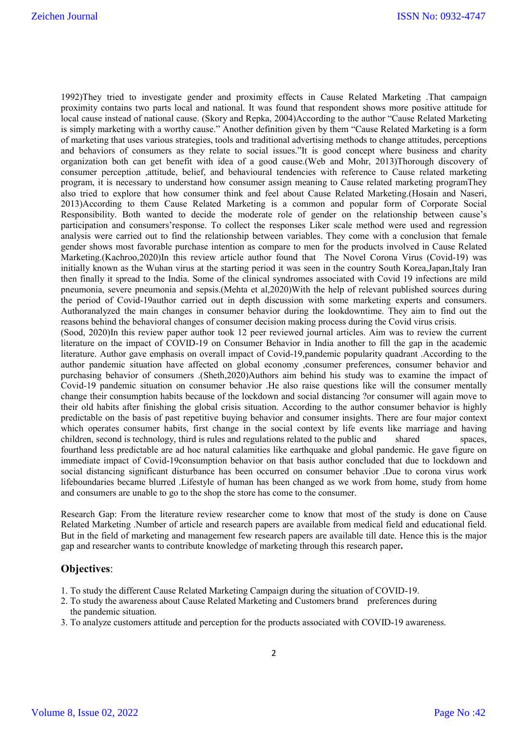1992)They tried to investigate gender and proximity effects in Cause Related Marketing .That campaign proximity contains two parts local and national. It was found that respondent shows more positive attitude for local cause instead of national cause. (Skory and Repka, 2004)According to the author "Cause Related Marketing is simply marketing with a worthy cause." Another definition given by them "Cause Related Marketing is a form of marketing that uses various strategies, tools and traditional advertising methods to change attitudes, perceptions and behaviors of consumers as they relate to social issues."It is good concept where business and charity organization both can get benefit with idea of a good cause.(Web and Mohr, 2013)Thorough discovery of consumer perception ,attitude, belief, and behavioural tendencies with reference to Cause related marketing program, it is necessary to understand how consumer assign meaning to Cause related marketing programThey also tried to explore that how consumer think and feel about Cause Related Marketing.(Hosain and Naseri, 2013)According to them Cause Related Marketing is a common and popular form of Corporate Social Responsibility. Both wanted to decide the moderate role of gender on the relationship between cause's participation and consumers'response. To collect the responses Liker scale method were used and regression analysis were carried out to find the relationship between variables. They come with a conclusion that female gender shows most favorable purchase intention as compare to men for the products involved in Cause Related Marketing.(Kachroo,2020)In this review article author found that The Novel Corona Virus (Covid-19) was initially known as the Wuhan virus at the starting period it was seen in the country South Korea,Japan,Italy Iran then finally it spread to the India. Some of the clinical syndromes associated with Covid 19 infections are mild pneumonia, severe pneumonia and sepsis.(Mehta et al,2020)With the help of relevant published sources during the period of Covid-19author carried out in depth discussion with some marketing experts and consumers. Authoranalyzed the main changes in consumer behavior during the lookdowntime. They aim to find out the reasons behind the behavioral changes of consumer decision making process during the Covid virus crisis. (Sood, 2020)In this review paper author took 12 peer reviewed journal articles. Aim was to review the current literature on the impact of COVID-19 on Consumer Behavior in India another to fill the gap in the academic literature. Author gave emphasis on overall impact of Covid-19,pandemic popularity quadrant .According to the author pandemic situation have affected on global economy ,consumer preferences, consumer behavior and purchasing behavior of consumers .(Sheth,2020)Authors aim behind his study was to examine the impact of Covid-19 pandemic situation on consumer behavior .He also raise questions like will the consumer mentally change their consumption habits because of the lockdown and social distancing ?or consumer will again move to their old habits after finishing the global crisis situation. According to the author consumer behavior is highly predictable on the basis of past repetitive buying behavior and consumer insights. There are four major context which operates consumer habits, first change in the social context by life events like marriage and having children, second is technology, third is rules and regulations related to the public and shared spaces, fourthand less predictable are ad hoc natural calamities like earthquake and global pandemic. He gave figure on immediate impact of Covid-19consumption behavior on that basis author concluded that due to lockdown and social distancing significant disturbance has been occurred on consumer behavior .Due to corona virus work

Research Gap: From the literature review researcher come to know that most of the study is done on Cause Related Marketing .Number of article and research papers are available from medical field and educational field. But in the field of marketing and management few research papers are available till date. Hence this is the major gap and researcher wants to contribute knowledge of marketing through this research paper**.**

lifeboundaries became blurred .Lifestyle of human has been changed as we work from home, study from home

## **Objectives**:

1. To study the different Cause Related Marketing Campaign during the situation of COVID-19.

and consumers are unable to go to the shop the store has come to the consumer.

- 2. To study the awareness about Cause Related Marketing and Customers brand preferences during the pandemic situation.
- 3. To analyze customers attitude and perception for the products associated with COVID-19 awareness.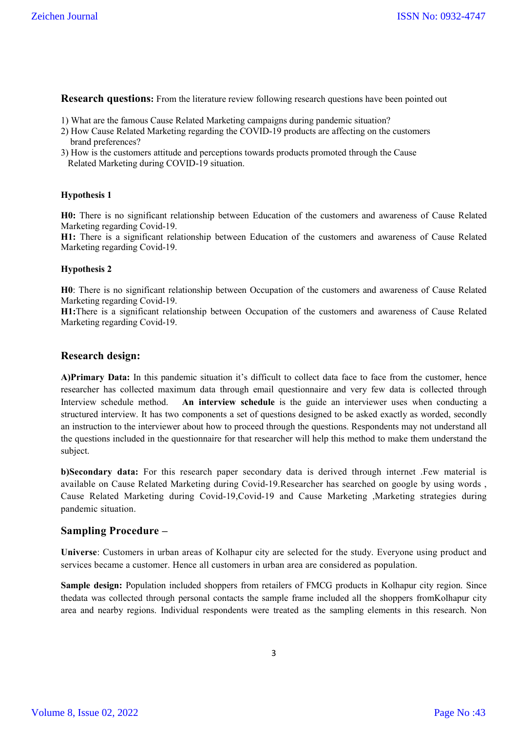**Research questions:** From the literature review following research questions have been pointed out

- 1) What are the famous Cause Related Marketing campaigns during pandemic situation?
- 2) How Cause Related Marketing regarding the COVID-19 products are affecting on the customers brand preferences?
- 3) How is the customers attitude and perceptions towards products promoted through the Cause Related Marketing during COVID-19 situation.

#### **Hypothesis 1**

**H0:** There is no significant relationship between Education of the customers and awareness of Cause Related Marketing regarding Covid-19.

**H1:** There is a significant relationship between Education of the customers and awareness of Cause Related Marketing regarding Covid-19.

#### **Hypothesis 2**

**H0**: There is no significant relationship between Occupation of the customers and awareness of Cause Related Marketing regarding Covid-19.

**H1:**There is a significant relationship between Occupation of the customers and awareness of Cause Related Marketing regarding Covid-19.

### **Research design:**

**A)Primary Data:** In this pandemic situation it's difficult to collect data face to face from the customer, hence researcher has collected maximum data through email questionnaire and very few data is collected through Interview schedule method. **An interview schedule** is the guide an interviewer uses when conducting a structured interview. It has two components a set of questions designed to be asked exactly as worded, secondly an instruction to the interviewer about how to proceed through the questions. Respondents may not understand all the questions included in the questionnaire for that researcher will help this method to make them understand the subject.

**b)Secondary data:** For this research paper secondary data is derived through internet .Few material is available on Cause Related Marketing during Covid-19.Researcher has searched on google by using words , Cause Related Marketing during Covid-19,Covid-19 and Cause Marketing ,Marketing strategies during pandemic situation.

### **Sampling Procedure –**

**Universe**: Customers in urban areas of Kolhapur city are selected for the study. Everyone using product and services became a customer. Hence all customers in urban area are considered as population.

**Sample design:** Population included shoppers from retailers of FMCG products in Kolhapur city region. Since thedata was collected through personal contacts the sample frame included all the shoppers fromKolhapur city area and nearby regions. Individual respondents were treated as the sampling elements in this research. Non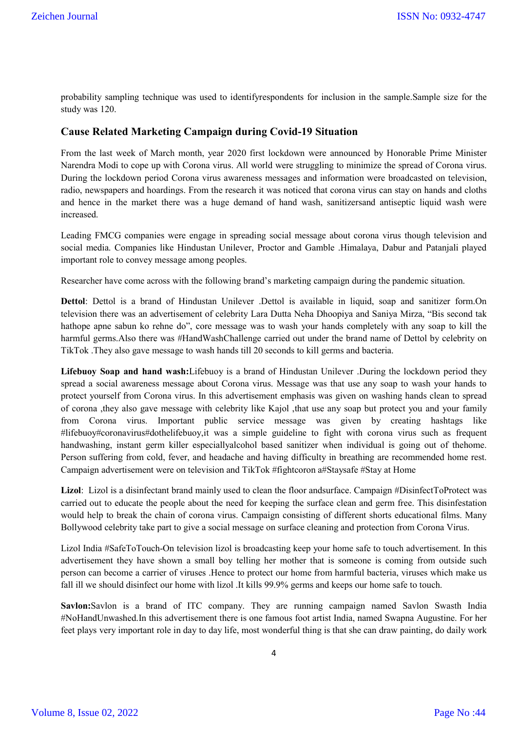probability sampling technique was used to identifyrespondents for inclusion in the sample.Sample size for the study was 120.

### **Cause Related Marketing Campaign during Covid-19 Situation**

From the last week of March month, year 2020 first lockdown were announced by Honorable Prime Minister Narendra Modi to cope up with Corona virus. All world were struggling to minimize the spread of Corona virus. During the lockdown period Corona virus awareness messages and information were broadcasted on television, radio, newspapers and hoardings. From the research it was noticed that corona virus can stay on hands and cloths and hence in the market there was a huge demand of hand wash, sanitizersand antiseptic liquid wash were increased.

Leading FMCG companies were engage in spreading social message about corona virus though television and social media. Companies like Hindustan Unilever, Proctor and Gamble .Himalaya, Dabur and Patanjali played important role to convey message among peoples.

Researcher have come across with the following brand's marketing campaign during the pandemic situation.

**Dettol**: Dettol is a brand of Hindustan Unilever .Dettol is available in liquid, soap and sanitizer form.On television there was an advertisement of celebrity Lara Dutta Neha Dhoopiya and Saniya Mirza, "Bis second tak hathope apne sabun ko rehne do", core message was to wash your hands completely with any soap to kill the harmful germs.Also there was #HandWashChallenge carried out under the brand name of Dettol by celebrity on TikTok .They also gave message to wash hands till 20 seconds to kill germs and bacteria.

**Lifebuoy Soap and hand wash:**Lifebuoy is a brand of Hindustan Unilever .During the lockdown period they spread a social awareness message about Corona virus. Message was that use any soap to wash your hands to protect yourself from Corona virus. In this advertisement emphasis was given on washing hands clean to spread of corona ,they also gave message with celebrity like Kajol ,that use any soap but protect you and your family from Corona virus. Important public service message was given by creating hashtags like #lifebuoy#coronavirus#dothelifebuoy,it was a simple guideline to fight with corona virus such as frequent handwashing, instant germ killer especiallyalcohol based sanitizer when individual is going out of thehome. Person suffering from cold, fever, and headache and having difficulty in breathing are recommended home rest. Campaign advertisement were on television and TikTok #fightcoron a#Staysafe #Stay at Home

**Lizol**: Lizol is a disinfectant brand mainly used to clean the floor andsurface. Campaign #DisinfectToProtect was carried out to educate the people about the need for keeping the surface clean and germ free. This disinfestation would help to break the chain of corona virus. Campaign consisting of different shorts educational films. Many Bollywood celebrity take part to give a social message on surface cleaning and protection from Corona Virus.

Lizol India #SafeToTouch-On television lizol is broadcasting keep your home safe to touch advertisement. In this advertisement they have shown a small boy telling her mother that is someone is coming from outside such person can become a carrier of viruses .Hence to protect our home from harmful bacteria, viruses which make us fall ill we should disinfect our home with lizol .It kills 99.9% germs and keeps our home safe to touch.

**Savlon:**Savlon is a brand of ITC company. They are running campaign named Savlon Swasth India #NoHandUnwashed.In this advertisement there is one famous foot artist India, named Swapna Augustine. For her feet plays very important role in day to day life, most wonderful thing is that she can draw painting, do daily work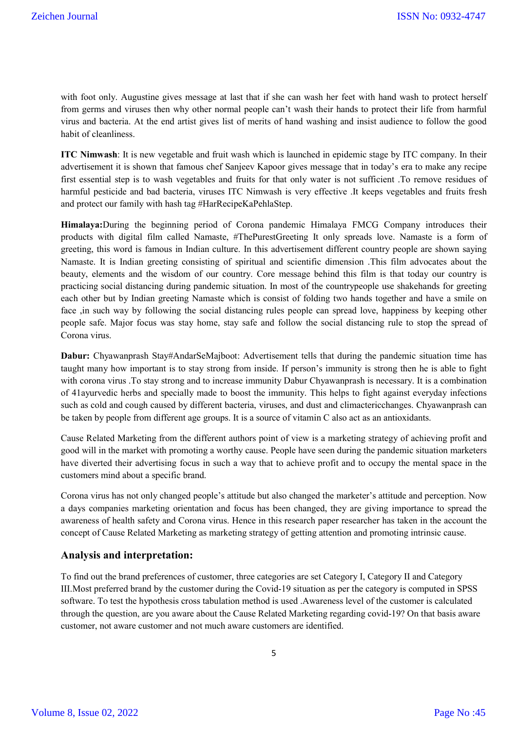with foot only. Augustine gives message at last that if she can wash her feet with hand wash to protect herself from germs and viruses then why other normal people can't wash their hands to protect their life from harmful virus and bacteria. At the end artist gives list of merits of hand washing and insist audience to follow the good habit of cleanliness.

**ITC Nimwash**: It is new vegetable and fruit wash which is launched in epidemic stage by ITC company. In their advertisement it is shown that famous chef Sanjeev Kapoor gives message that in today's era to make any recipe first essential step is to wash vegetables and fruits for that only water is not sufficient .To remove residues of harmful pesticide and bad bacteria, viruses ITC Nimwash is very effective .It keeps vegetables and fruits fresh and protect our family with hash tag #HarRecipeKaPehlaStep.

**Himalaya:**During the beginning period of Corona pandemic Himalaya FMCG Company introduces their products with digital film called Namaste, #ThePurestGreeting It only spreads love. Namaste is a form of greeting, this word is famous in Indian culture. In this advertisement different country people are shown saying Namaste. It is Indian greeting consisting of spiritual and scientific dimension .This film advocates about the beauty, elements and the wisdom of our country. Core message behind this film is that today our country is practicing social distancing during pandemic situation. In most of the countrypeople use shakehands for greeting each other but by Indian greeting Namaste which is consist of folding two hands together and have a smile on face ,in such way by following the social distancing rules people can spread love, happiness by keeping other people safe. Major focus was stay home, stay safe and follow the social distancing rule to stop the spread of Corona virus.

**Dabur:** Chyawanprash Stay#AndarSeMajboot: Advertisement tells that during the pandemic situation time has taught many how important is to stay strong from inside. If person's immunity is strong then he is able to fight with corona virus .To stay strong and to increase immunity Dabur Chyawanprash is necessary. It is a combination of 41ayurvedic herbs and specially made to boost the immunity. This helps to fight against everyday infections such as cold and cough caused by different bacteria, viruses, and dust and climactericchanges. Chyawanprash can be taken by people from different age groups. It is a source of vitamin C also act as an antioxidants.

Cause Related Marketing from the different authors point of view is a marketing strategy of achieving profit and good will in the market with promoting a worthy cause. People have seen during the pandemic situation marketers have diverted their advertising focus in such a way that to achieve profit and to occupy the mental space in the customers mind about a specific brand.

Corona virus has not only changed people's attitude but also changed the marketer's attitude and perception. Now a days companies marketing orientation and focus has been changed, they are giving importance to spread the awareness of health safety and Corona virus. Hence in this research paper researcher has taken in the account the concept of Cause Related Marketing as marketing strategy of getting attention and promoting intrinsic cause.

### **Analysis and interpretation:**

To find out the brand preferences of customer, three categories are set Category I, Category II and Category III.Most preferred brand by the customer during the Covid-19 situation as per the category is computed in SPSS software. To test the hypothesis cross tabulation method is used .Awareness level of the customer is calculated through the question, are you aware about the Cause Related Marketing regarding covid-19? On that basis aware customer, not aware customer and not much aware customers are identified.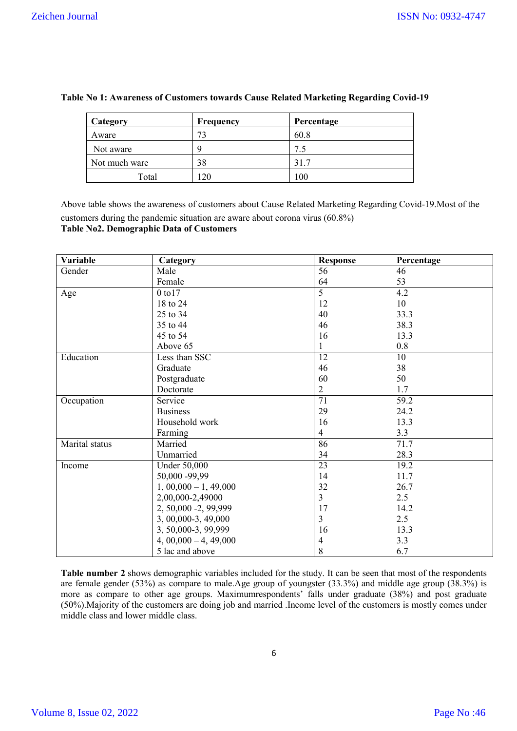| Category      | Frequency | Percentage |
|---------------|-----------|------------|
| Aware         | 73        | 60.8       |
| Not aware     |           | 7.5        |
| Not much ware | 38        | 31.7       |
| Total         | 20        | 100        |

### **Table No 1: Awareness of Customers towards Cause Related Marketing Regarding Covid-19**

Above table shows the awareness of customers about Cause Related Marketing Regarding Covid-19.Most of the customers during the pandemic situation are aware about corona virus (60.8%) **Table No2. Demographic Data of Customers**

| Variable       | Category              | <b>Response</b> | Percentage |
|----------------|-----------------------|-----------------|------------|
| Gender         | Male                  | 56              | 46         |
|                | Female                | 64              | 53         |
| Age            | 0 to 17               | 5               | 4.2        |
|                | 18 to 24              | 12              | 10         |
|                | 25 to 34              | 40              | 33.3       |
|                | 35 to 44              | 46              | 38.3       |
|                | 45 to 54              | 16              | 13.3       |
|                | Above 65              | 1               | 0.8        |
| Education      | Less than SSC         | 12              | 10         |
|                | Graduate              | 46              | 38         |
|                | Postgraduate          | 60              | 50         |
|                | Doctorate             | $\overline{2}$  | 1.7        |
| Occupation     | Service               | $\overline{71}$ | 59.2       |
|                | <b>Business</b>       | 29              | 24.2       |
|                | Household work        | 16              | 13.3       |
|                | Farming               | $\overline{4}$  | 3.3        |
| Marital status | Married               | 86              | 71.7       |
|                | Unmarried             | 34              | 28.3       |
| Income         | <b>Under 50,000</b>   | $\overline{23}$ | 19.2       |
|                | 50,000 -99,99         | 14              | 11.7       |
|                | $1,00,000 - 1,49,000$ | 32              | 26.7       |
|                | 2,00,000-2,49000      | $\overline{3}$  | 2.5        |
|                | 2, 50,000 -2, 99,999  | 17              | 14.2       |
|                | 3, 00,000-3, 49,000   | $\overline{3}$  | 2.5        |
|                | 3, 50,000-3, 99,999   | 16              | 13.3       |
|                | $4,00,000 - 4,49,000$ | 4               | 3.3        |
|                | 5 lac and above       | 8               | 6.7        |

**Table number 2** shows demographic variables included for the study. It can be seen that most of the respondents are female gender (53%) as compare to male.Age group of youngster (33.3%) and middle age group (38.3%) is more as compare to other age groups. Maximumrespondents' falls under graduate (38%) and post graduate (50%).Majority of the customers are doing job and married .Income level of the customers is mostly comes under middle class and lower middle class.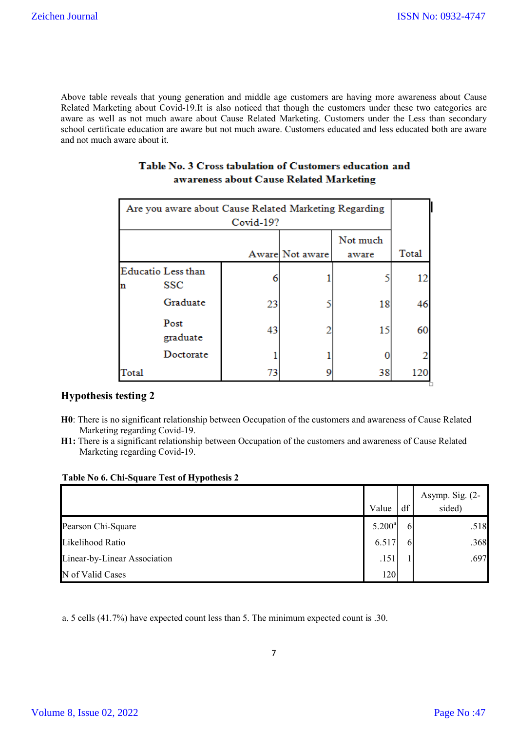▚

Above table reveals that young generation and middle age customers are having more awareness about Cause Related Marketing about Covid-19.It is also noticed that though the customers under these two categories are aware as well as not much aware about Cause Related Marketing. Customers under the Less than secondary school certificate education are aware but not much aware. Customers educated and less educated both are aware and not much aware about it.

| Are you aware about Cause Related Marketing Regarding<br>Covid-19? |                                      |    |  |    |    |  |  |
|--------------------------------------------------------------------|--------------------------------------|----|--|----|----|--|--|
|                                                                    | Not much<br>Aware Not aware<br>aware |    |  |    |    |  |  |
| n                                                                  | <b>Educatio</b> Less than<br>SSC     |    |  |    | 12 |  |  |
|                                                                    | Graduate                             | 23 |  | 18 | 46 |  |  |
|                                                                    | Post<br>graduate                     | 43 |  | 15 | 60 |  |  |
|                                                                    | Doctorate                            |    |  |    |    |  |  |
| Total                                                              |                                      | 73 |  | 38 |    |  |  |

# Table No. 3 Cross tabulation of Customers education and awareness about Cause Related Marketing

# **Hypothesis testing 2**

- **H0**: There is no significant relationship between Occupation of the customers and awareness of Cause Related Marketing regarding Covid-19.
- **H1:** There is a significant relationship between Occupation of the customers and awareness of Cause Related Marketing regarding Covid-19.

|  | Table No 6. Chi-Square Test of Hypothesis 2 |  |  |
|--|---------------------------------------------|--|--|
|--|---------------------------------------------|--|--|

|                              |                    |    | Asymp. Sig. $(2-$ |
|------------------------------|--------------------|----|-------------------|
|                              | Value              | df | sided)            |
| Pearson Chi-Square           | 5.200 <sup>a</sup> |    | .518              |
| Likelihood Ratio             | 6.517              |    | .368              |
| Linear-by-Linear Association | .151               |    | .697              |
| N of Valid Cases             | 120                |    |                   |

a. 5 cells (41.7%) have expected count less than 5. The minimum expected count is .30.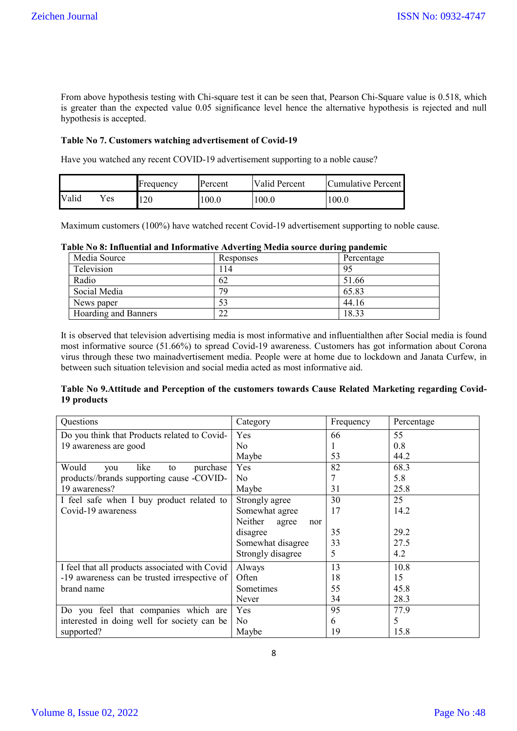From above hypothesis testing with Chi-square test it can be seen that, Pearson Chi-Square value is 0.518, which is greater than the expected value 0.05 significance level hence the alternative hypothesis is rejected and null hypothesis is accepted.

### **Table No 7. Customers watching advertisement of Covid-19**

Have you watched any recent COVID-19 advertisement supporting to a noble cause?

|       |      | Frequency | Percent | <b>Valid Percent</b> | <b>Cumulative Percent</b> |
|-------|------|-----------|---------|----------------------|---------------------------|
| Valid | ( es | 120       | .00.0   | 100.0                | l 00.0                    |

Maximum customers (100%) have watched recent Covid-19 advertisement supporting to noble cause.

|                           | Table No 8: Influential and Informative Adverting Media source during pandemic |
|---------------------------|--------------------------------------------------------------------------------|
| $\mathbf{M}$ $\mathbf{L}$ |                                                                                |

| Media Source         | <b>Responses</b> | Percentage |
|----------------------|------------------|------------|
| Television           | 14               | 95         |
| Radio                | 62               | 51.66      |
| Social Media         | 79               | 65.83      |
| News paper           | 53               | 44.16      |
| Hoarding and Banners | າາ<br>∠∠         | 18.33      |

It is observed that television advertising media is most informative and influentialthen after Social media is found most informative source (51.66%) to spread Covid-19 awareness. Customers has got information about Corona virus through these two mainadvertisement media. People were at home due to lockdown and Janata Curfew, in between such situation television and social media acted as most informative aid.

### **Table No 9.Attitude and Perception of the customers towards Cause Related Marketing regarding Covid-19 products**

| Questions                                      | Category                | Frequency | Percentage |
|------------------------------------------------|-------------------------|-----------|------------|
| Do you think that Products related to Covid-   | Yes                     | 66        | 55         |
| 19 awareness are good                          | No                      |           | 0.8        |
|                                                | Maybe                   | 53        | 44.2       |
| Would<br>like<br>purchase<br>you<br>to         | Yes                     | 82        | 68.3       |
| products//brands supporting cause -COVID-      | No                      |           | 5.8        |
| 19 awareness?                                  | Maybe                   | 31        | 25.8       |
| I feel safe when I buy product related to      | Strongly agree          | 30        | 25         |
| Covid-19 awareness                             | Somewhat agree          | 17        | 14.2       |
|                                                | Neither<br>agree<br>nor |           |            |
|                                                | disagree                | 35        | 29.2       |
|                                                | Somewhat disagree       | 33        | 27.5       |
|                                                | Strongly disagree       | 5         | 4.2        |
| I feel that all products associated with Covid | Always                  | 13        | 10.8       |
| -19 awareness can be trusted irrespective of   | Often                   | 18        | 15         |
| brand name                                     | Sometimes               | 55        | 45.8       |
|                                                | Never                   | 34        | 28.3       |
| Do you feel that companies which are           | Yes                     | 95        | 77.9       |
| interested in doing well for society can be    | No                      | 6         | 5          |
| supported?                                     | Maybe                   | 19        | 15.8       |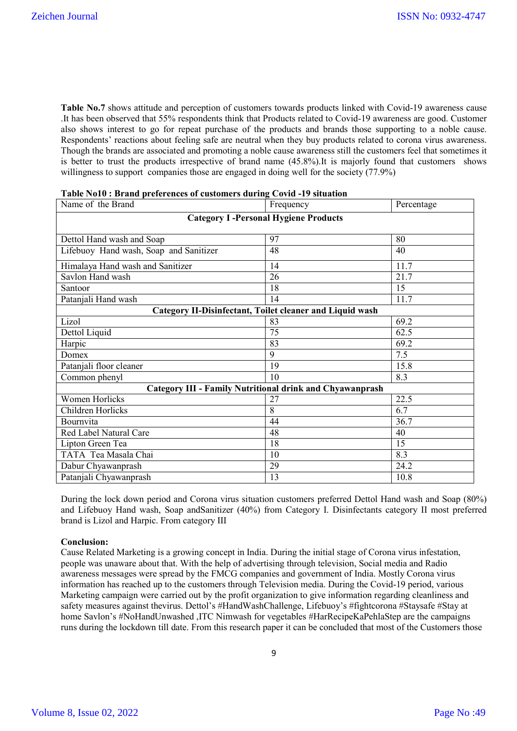**Table No.7** shows attitude and perception of customers towards products linked with Covid-19 awareness cause .It has been observed that 55% respondents think that Products related to Covid-19 awareness are good. Customer also shows interest to go for repeat purchase of the products and brands those supporting to a noble cause. Respondents' reactions about feeling safe are neutral when they buy products related to corona virus awareness. Though the brands are associated and promoting a noble cause awareness still the customers feel that sometimes it is better to trust the products irrespective of brand name (45.8%).It is majorly found that customers shows willingness to support companies those are engaged in doing well for the society (77.9%)

| Name of the Brand                      | Frequency                                                       | Percentage |
|----------------------------------------|-----------------------------------------------------------------|------------|
|                                        | <b>Category I-Personal Hygiene Products</b>                     |            |
|                                        |                                                                 |            |
| Dettol Hand wash and Soap              | 97                                                              | 80         |
| Lifebuoy Hand wash, Soap and Sanitizer | 48                                                              | 40         |
| Himalaya Hand wash and Sanitizer       | 14                                                              | 11.7       |
| Savlon Hand wash                       | 26                                                              | 21.7       |
| Santoor                                | 18                                                              | 15         |
| Patanjali Hand wash                    | 14                                                              | 11.7       |
|                                        | <b>Category II-Disinfectant, Toilet cleaner and Liquid wash</b> |            |
| Lizol                                  | 83                                                              | 69.2       |
| Dettol Liquid                          | 75                                                              | 62.5       |
| Harpic                                 | 83                                                              | 69.2       |
| Domex                                  | 9                                                               | 7.5        |
| Patanjali floor cleaner                | 19                                                              | 15.8       |
| Common phenyl                          | 10                                                              | 8.3        |
|                                        | Category III - Family Nutritional drink and Chyawanprash        |            |
| <b>Women Horlicks</b>                  | 27                                                              | 22.5       |
| Children Horlicks                      | 8                                                               | 6.7        |
| Bournvita                              | 44                                                              | 36.7       |
| Red Label Natural Care                 | 48                                                              | 40         |
| Lipton Green Tea                       | 18                                                              | 15         |
| TATA Tea Masala Chai                   | 10                                                              | 8.3        |
| Dabur Chyawanprash                     | 29                                                              | 24.2       |
| Patanjali Chyawanprash                 | 13                                                              | 10.8       |

During the lock down period and Corona virus situation customers preferred Dettol Hand wash and Soap (80%) and Lifebuoy Hand wash, Soap andSanitizer (40%) from Category I. Disinfectants category II most preferred brand is Lizol and Harpic. From category III

### **Conclusion:**

Cause Related Marketing is a growing concept in India. During the initial stage of Corona virus infestation, people was unaware about that. With the help of advertising through television, Social media and Radio awareness messages were spread by the FMCG companies and government of India. Mostly Corona virus information has reached up to the customers through Television media. During the Covid-19 period, various Marketing campaign were carried out by the profit organization to give information regarding cleanliness and safety measures against thevirus. Dettol's #HandWashChallenge, Lifebuoy's #fightcorona #Staysafe #Stay at home Savlon's #NoHandUnwashed ,ITC Nimwash for vegetables #HarRecipeKaPehlaStep are the campaigns runs during the lockdown till date. From this research paper it can be concluded that most of the Customers those